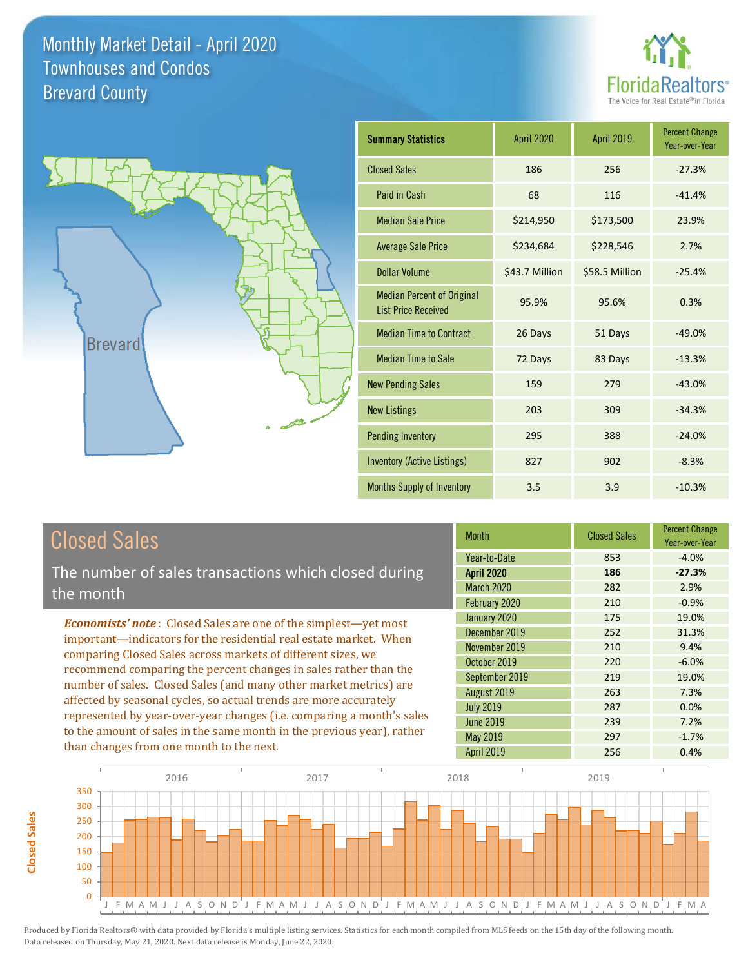



| <b>Summary Statistics</b>                                       | <b>April 2020</b> | April 2019     | <b>Percent Change</b><br>Year-over-Year |
|-----------------------------------------------------------------|-------------------|----------------|-----------------------------------------|
| <b>Closed Sales</b>                                             | 186               | 256            | $-27.3%$                                |
| Paid in Cash                                                    | 68                | 116            | $-41.4%$                                |
| <b>Median Sale Price</b>                                        | \$214,950         | \$173,500      | 23.9%                                   |
| <b>Average Sale Price</b>                                       | \$234,684         | \$228,546      | 2.7%                                    |
| <b>Dollar Volume</b>                                            | \$43.7 Million    | \$58.5 Million | $-25.4%$                                |
| <b>Median Percent of Original</b><br><b>List Price Received</b> | 95.9%             | 95.6%          | 0.3%                                    |
| <b>Median Time to Contract</b>                                  | 26 Days           | 51 Days        | $-49.0%$                                |
| <b>Median Time to Sale</b>                                      | 72 Days           | 83 Days        | $-13.3%$                                |
| <b>New Pending Sales</b>                                        | 159               | 279            | $-43.0%$                                |
| <b>New Listings</b>                                             | 203               | 309            | $-34.3%$                                |
| <b>Pending Inventory</b>                                        | 295               | 388            | $-24.0%$                                |
| <b>Inventory (Active Listings)</b>                              | 827               | 902            | $-8.3%$                                 |
| <b>Months Supply of Inventory</b>                               | 3.5               | 3.9            | $-10.3%$                                |

# Closed Sales

The number of sales transactions which closed during the month

*Economists' note* : Closed Sales are one of the simplest—yet most important—indicators for the residential real estate market. When comparing Closed Sales across markets of different sizes, we recommend comparing the percent changes in sales rather than the number of sales. Closed Sales (and many other market metrics) are affected by seasonal cycles, so actual trends are more accurately represented by year-over-year changes (i.e. comparing a month's sales to the amount of sales in the same month in the previous year), rather than changes from one month to the next.

| <b>Month</b>      | <b>Closed Sales</b> | <b>Percent Change</b><br>Year-over-Year |
|-------------------|---------------------|-----------------------------------------|
| Year-to-Date      | 853                 | $-4.0%$                                 |
| <b>April 2020</b> | 186                 | $-27.3%$                                |
| <b>March 2020</b> | 282                 | 2.9%                                    |
| February 2020     | 210                 | $-0.9%$                                 |
| January 2020      | 175                 | 19.0%                                   |
| December 2019     | 252                 | 31.3%                                   |
| November 2019     | 210                 | 9.4%                                    |
| October 2019      | 220                 | $-6.0%$                                 |
| September 2019    | 219                 | 19.0%                                   |
| August 2019       | 263                 | 7.3%                                    |
| <b>July 2019</b>  | 287                 | 0.0%                                    |
| <b>June 2019</b>  | 239                 | 7.2%                                    |
| May 2019          | 297                 | $-1.7%$                                 |
| April 2019        | 256                 | 0.4%                                    |



**Closed Sales**

Closed Sales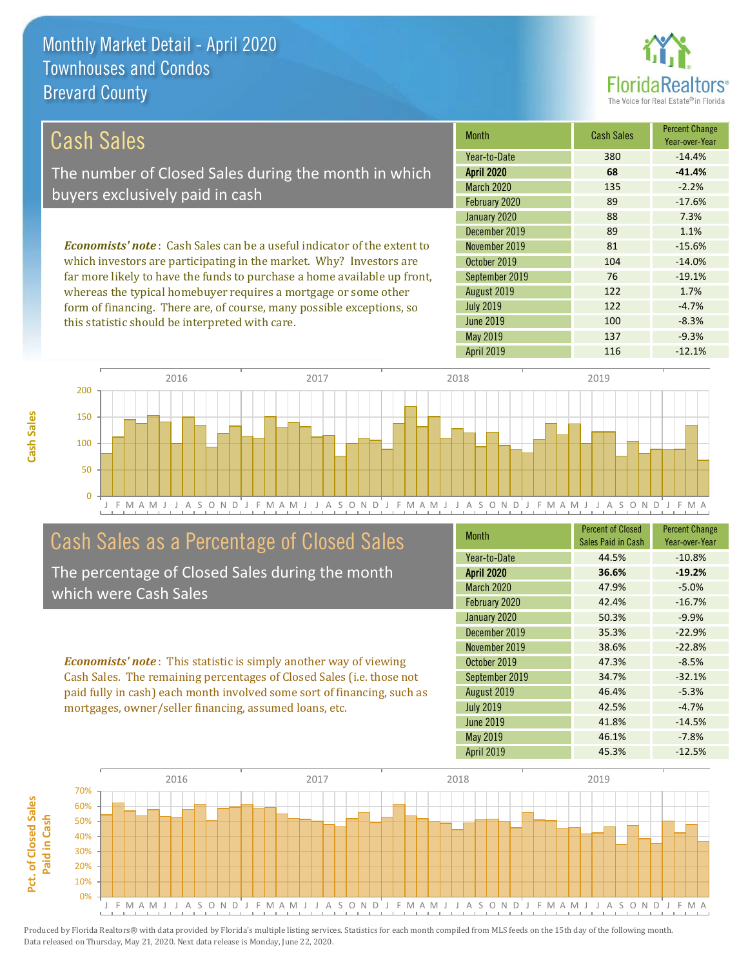this statistic should be interpreted with care.



100 -8.3%

| Cash Sales                                                                     | <b>Month</b>      | <b>Cash Sales</b> | <b>Percent Change</b><br>Year-over-Year |
|--------------------------------------------------------------------------------|-------------------|-------------------|-----------------------------------------|
|                                                                                | Year-to-Date      | 380               | $-14.4%$                                |
| The number of Closed Sales during the month in which                           | <b>April 2020</b> | 68                | $-41.4%$                                |
| buyers exclusively paid in cash                                                | <b>March 2020</b> | 135               | $-2.2%$                                 |
|                                                                                | February 2020     | 89                | $-17.6%$                                |
|                                                                                | January 2020      | 88                | 7.3%                                    |
|                                                                                | December 2019     | 89                | 1.1%                                    |
| <b>Economists' note:</b> Cash Sales can be a useful indicator of the extent to | November 2019     | 81                | $-15.6%$                                |
| which investors are participating in the market. Why? Investors are            | October 2019      | 104               | $-14.0%$                                |
| far more likely to have the funds to purchase a home available up front,       | September 2019    | 76                | $-19.1%$                                |
| whereas the typical homebuyer requires a mortgage or some other                | August 2019       | 122               | 1.7%                                    |
| form of financing. There are, of course, many possible exceptions, so          | <b>July 2019</b>  | 122               | $-4.7%$                                 |

J F M A M J J A S O N D J F M A M J J A S O N D J F M A M J J A S O N D J F M A M J J A S O N D J F M A  $\Omega$ 50 100 150 200 2016 2017 2018 2019

### Cash Sales as a Percentage of Closed Sales

The percentage of Closed Sales during the month which were Cash Sales

*Economists' note* : This statistic is simply another way of viewing Cash Sales. The remaining percentages of Closed Sales (i.e. those not paid fully in cash) each month involved some sort of financing, such as mortgages, owner/seller financing, assumed loans, etc.

| <b>Month</b>      | <b>Percent of Closed</b> | <b>Percent Change</b> |
|-------------------|--------------------------|-----------------------|
|                   | Sales Paid in Cash       | Year-over-Year        |
| Year-to-Date      | 44.5%                    | $-10.8%$              |
| <b>April 2020</b> | 36.6%                    | $-19.2%$              |
| <b>March 2020</b> | 47.9%                    | $-5.0%$               |
| February 2020     | 42.4%                    | $-16.7%$              |
| January 2020      | 50.3%                    | $-9.9%$               |
| December 2019     | 35.3%                    | $-22.9%$              |
| November 2019     | 38.6%                    | $-22.8%$              |
| October 2019      | 47.3%                    | $-8.5%$               |
| September 2019    | 34.7%                    | $-32.1%$              |
| August 2019       | 46.4%                    | $-5.3%$               |
| <b>July 2019</b>  | 42.5%                    | $-4.7%$               |
| <b>June 2019</b>  | 41.8%                    | $-14.5%$              |
| May 2019          | 46.1%                    | $-7.8%$               |
| <b>April 2019</b> | 45.3%                    | $-12.5%$              |

April 2019 116 116 -12.1%

May 2019 137 137 -9.3%

June 2019

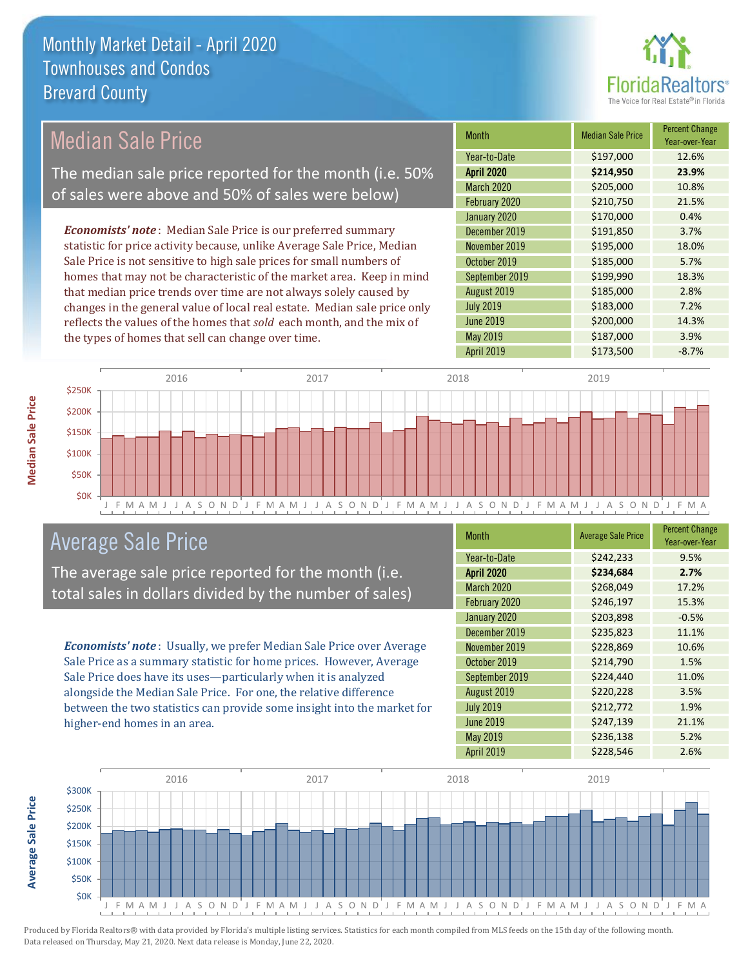

| <b>Median Sale Price</b>                                                                      | <b>Month</b>      | <b>Median Sale Price</b> | <b>Percent Change</b><br>Year-over-Year |
|-----------------------------------------------------------------------------------------------|-------------------|--------------------------|-----------------------------------------|
|                                                                                               | Year-to-Date      | \$197,000                | 12.6%                                   |
| The median sale price reported for the month (i.e. 50%                                        | <b>April 2020</b> | \$214,950                | 23.9%                                   |
| of sales were above and 50% of sales were below)                                              | March 2020        | \$205,000                | 10.8%                                   |
|                                                                                               | February 2020     | \$210,750                | 21.5%                                   |
|                                                                                               | January 2020      | \$170,000                | 0.4%                                    |
| <b>Economists' note</b> : Median Sale Price is our preferred summary                          | December 2019     | \$191,850                | 3.7%                                    |
| statistic for price activity because, unlike Average Sale Price, Median                       | November 2019     | \$195,000                | 18.0%                                   |
| Sale Price is not sensitive to high sale prices for small numbers of                          | October 2019      | \$185,000                | 5.7%                                    |
| homes that may not be characteristic of the market area. Keep in mind                         | September 2019    | \$199,990                | 18.3%                                   |
| that median price trends over time are not always solely caused by<br>August 2019             |                   | \$185,000                | 2.8%                                    |
| changes in the general value of local real estate. Median sale price only<br><b>July 2019</b> |                   | \$183,000                | 7.2%                                    |
| <b>June 2019</b><br>reflects the values of the homes that sold each month, and the mix of     |                   | \$200,000                | 14.3%                                   |
| the types of homes that sell can change over time.                                            | May 2019          | \$187,000                | 3.9%                                    |
|                                                                                               | April 2019        | \$173,500                | $-8.7%$                                 |
| 2016<br>2017                                                                                  | 2018              | 2019                     |                                         |
| \$250K<br>\$200K<br>\$150K                                                                    |                   |                          |                                         |

**Median Sale Price Median Sale Price**

**Average Sale Price**

**Average Sale Price** 



## Average Sale Price

The average sale price reported for the month (i.e. total sales in dollars divided by the number of sales)

*Economists' note* : Usually, we prefer Median Sale Price over Average Sale Price as a summary statistic for home prices. However, Average Sale Price does have its uses—particularly when it is analyzed alongside the Median Sale Price. For one, the relative difference between the two statistics can provide some insight into the market for higher-end homes in an area.

| <b>Month</b>      | <b>Average Sale Price</b> | <b>Percent Change</b><br>Year-over-Year |
|-------------------|---------------------------|-----------------------------------------|
| Year-to-Date      | \$242,233                 | 9.5%                                    |
| <b>April 2020</b> | \$234,684                 | 2.7%                                    |
| March 2020        | \$268,049                 | 17.2%                                   |
| February 2020     | \$246,197                 | 15.3%                                   |
| January 2020      | \$203,898                 | $-0.5%$                                 |
| December 2019     | \$235,823                 | 11.1%                                   |
| November 2019     | \$228,869                 | 10.6%                                   |
| October 2019      | \$214,790                 | 1.5%                                    |
| September 2019    | \$224,440                 | 11.0%                                   |
| August 2019       | \$220,228                 | 3.5%                                    |
| <b>July 2019</b>  | \$212,772                 | 1.9%                                    |
| <b>June 2019</b>  | \$247,139                 | 21.1%                                   |
| May 2019          | \$236,138                 | 5.2%                                    |
| April 2019        | \$228,546                 | 2.6%                                    |

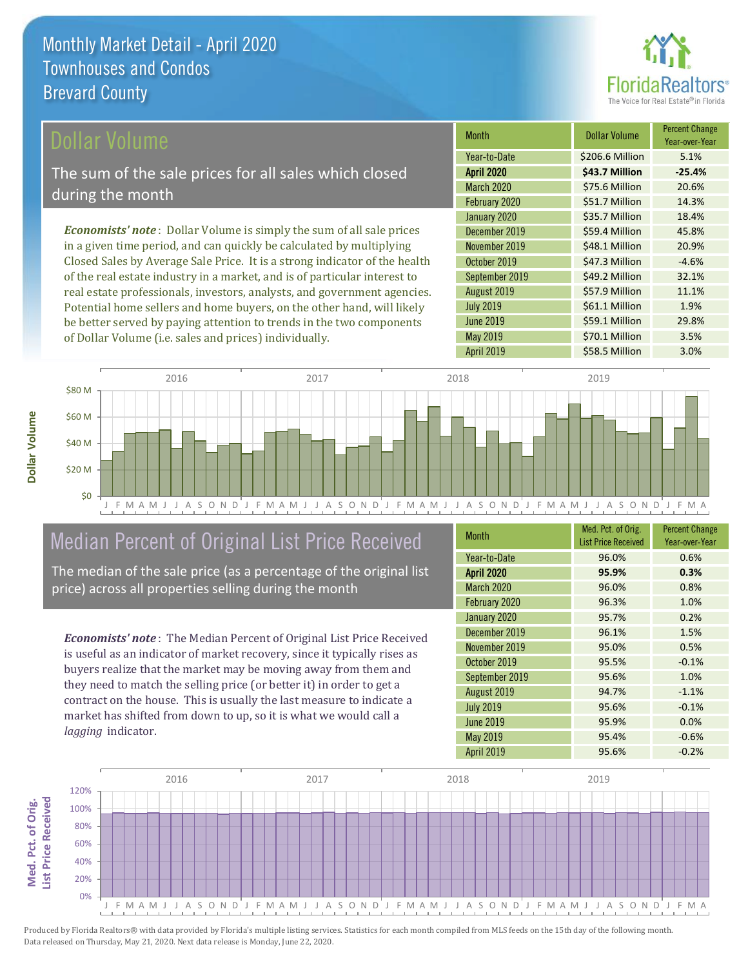

### Dollar Volume

The sum of the sale prices for all sales which closed during the month

*Economists' note* : Dollar Volume is simply the sum of all sale prices in a given time period, and can quickly be calculated by multiplying Closed Sales by Average Sale Price. It is a strong indicator of the health of the real estate industry in a market, and is of particular interest to real estate professionals, investors, analysts, and government agencies. Potential home sellers and home buyers, on the other hand, will likely be better served by paying attention to trends in the two components of Dollar Volume (i.e. sales and prices) individually.

| <b>Month</b>      | Dollar Volume   | <b>Percent Change</b><br>Year-over-Year |
|-------------------|-----------------|-----------------------------------------|
| Year-to-Date      | \$206.6 Million | 5.1%                                    |
| <b>April 2020</b> | \$43.7 Million  | $-25.4%$                                |
| <b>March 2020</b> | \$75.6 Million  | 20.6%                                   |
| February 2020     | \$51.7 Million  | 14.3%                                   |
| January 2020      | \$35.7 Million  | 18.4%                                   |
| December 2019     | \$59.4 Million  | 45.8%                                   |
| November 2019     | \$48.1 Million  | 20.9%                                   |
| October 2019      | \$47.3 Million  | $-4.6%$                                 |
| September 2019    | \$49.2 Million  | 32.1%                                   |
| August 2019       | \$57.9 Million  | 11.1%                                   |
| <b>July 2019</b>  | \$61.1 Million  | 1.9%                                    |
| <b>June 2019</b>  | \$59.1 Million  | 29.8%                                   |
| May 2019          | \$70.1 Million  | 3.5%                                    |
| <b>April 2019</b> | \$58.5 Million  | 3.0%                                    |



## Median Percent of Original List Price Received

The median of the sale price (as a percentage of the original list price) across all properties selling during the month

*Economists' note* : The Median Percent of Original List Price Received is useful as an indicator of market recovery, since it typically rises as buyers realize that the market may be moving away from them and they need to match the selling price (or better it) in order to get a contract on the house. This is usually the last measure to indicate a market has shifted from down to up, so it is what we would call a *lagging* indicator.

| <b>Month</b>      | Med. Pct. of Orig.         | <b>Percent Change</b> |
|-------------------|----------------------------|-----------------------|
|                   | <b>List Price Received</b> | Year-over-Year        |
| Year-to-Date      | 96.0%                      | 0.6%                  |
| <b>April 2020</b> | 95.9%                      | 0.3%                  |
| <b>March 2020</b> | 96.0%                      | 0.8%                  |
| February 2020     | 96.3%                      | 1.0%                  |
| January 2020      | 95.7%                      | 0.2%                  |
| December 2019     | 96.1%                      | 1.5%                  |
| November 2019     | 95.0%                      | 0.5%                  |
| October 2019      | 95.5%                      | $-0.1%$               |
| September 2019    | 95.6%                      | 1.0%                  |
| August 2019       | 94.7%                      | $-1.1%$               |
| <b>July 2019</b>  | 95.6%                      | $-0.1%$               |
| <b>June 2019</b>  | 95.9%                      | 0.0%                  |
| May 2019          | 95.4%                      | $-0.6%$               |
| <b>April 2019</b> | 95.6%                      | $-0.2%$               |

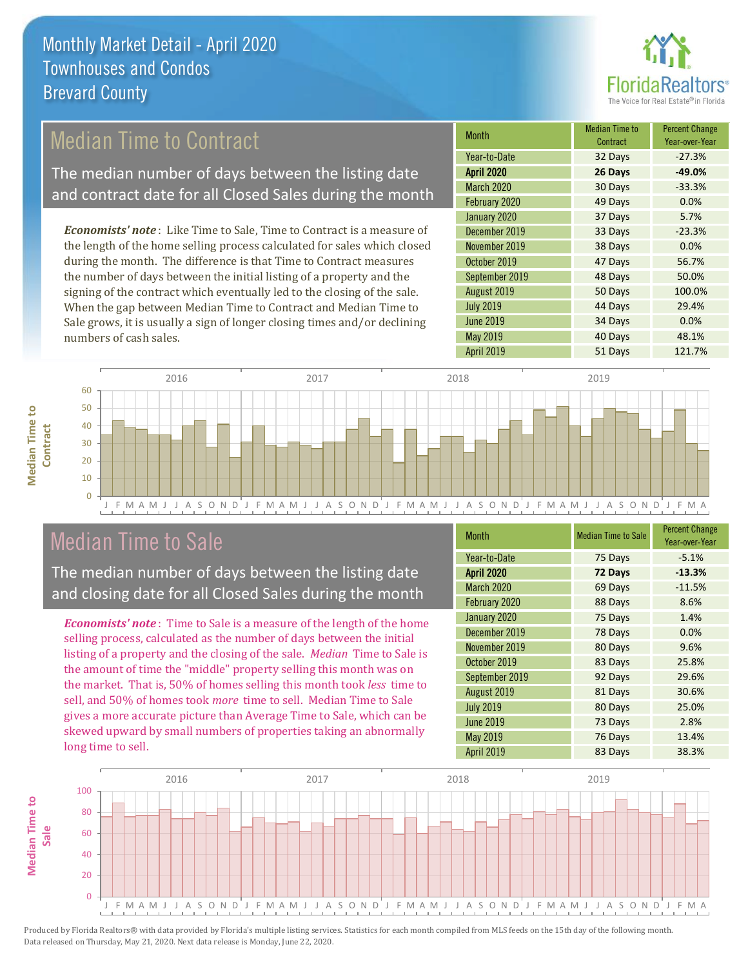

# Median Time to Contract

The median number of days between the listing date and contract date for all Closed Sales during the month

*Economists' note* : Like Time to Sale, Time to Contract is a measure of the length of the home selling process calculated for sales which closed during the month. The difference is that Time to Contract measures the number of days between the initial listing of a property and the signing of the contract which eventually led to the closing of the sale. When the gap between Median Time to Contract and Median Time to Sale grows, it is usually a sign of longer closing times and/or declining numbers of cash sales.

| <b>Month</b>      | <b>Median Time to</b><br>Contract | <b>Percent Change</b><br>Year-over-Year |
|-------------------|-----------------------------------|-----------------------------------------|
| Year-to-Date      | 32 Days                           | $-27.3%$                                |
| <b>April 2020</b> | 26 Days                           | $-49.0%$                                |
| March 2020        | 30 Days                           | $-33.3%$                                |
| February 2020     | 49 Days                           | 0.0%                                    |
| January 2020      | 37 Days                           | 5.7%                                    |
| December 2019     | 33 Days                           | $-23.3%$                                |
| November 2019     | 38 Days                           | 0.0%                                    |
| October 2019      | 47 Days                           | 56.7%                                   |
| September 2019    | 48 Days                           | 50.0%                                   |
| August 2019       | 50 Days                           | 100.0%                                  |
| <b>July 2019</b>  | 44 Days                           | 29.4%                                   |
| <b>June 2019</b>  | 34 Days                           | 0.0%                                    |
| May 2019          | 40 Days                           | 48.1%                                   |
| April 2019        | 51 Days                           | 121.7%                                  |



### Median Time to Sale

**Median Time to** 

**Median Time to** 

The median number of days between the listing date and closing date for all Closed Sales during the month

*Economists' note* : Time to Sale is a measure of the length of the home selling process, calculated as the number of days between the initial listing of a property and the closing of the sale. *Median* Time to Sale is the amount of time the "middle" property selling this month was on the market. That is, 50% of homes selling this month took *less* time to sell, and 50% of homes took *more* time to sell. Median Time to Sale gives a more accurate picture than Average Time to Sale, which can be skewed upward by small numbers of properties taking an abnormally long time to sell.

| <b>Month</b>      | <b>Median Time to Sale</b> | <b>Percent Change</b><br>Year-over-Year |
|-------------------|----------------------------|-----------------------------------------|
| Year-to-Date      | 75 Days                    | $-5.1%$                                 |
| <b>April 2020</b> | 72 Days                    | $-13.3%$                                |
| <b>March 2020</b> | 69 Days                    | $-11.5%$                                |
| February 2020     | 88 Days                    | 8.6%                                    |
| January 2020      | 75 Days                    | 1.4%                                    |
| December 2019     | 78 Days                    | 0.0%                                    |
| November 2019     | 80 Days                    | 9.6%                                    |
| October 2019      | 83 Days                    | 25.8%                                   |
| September 2019    | 92 Days                    | 29.6%                                   |
| August 2019       | 81 Days                    | 30.6%                                   |
| <b>July 2019</b>  | 80 Days                    | 25.0%                                   |
| <b>June 2019</b>  | 73 Days                    | 2.8%                                    |
| May 2019          | 76 Days                    | 13.4%                                   |
| <b>April 2019</b> | 83 Days                    | 38.3%                                   |

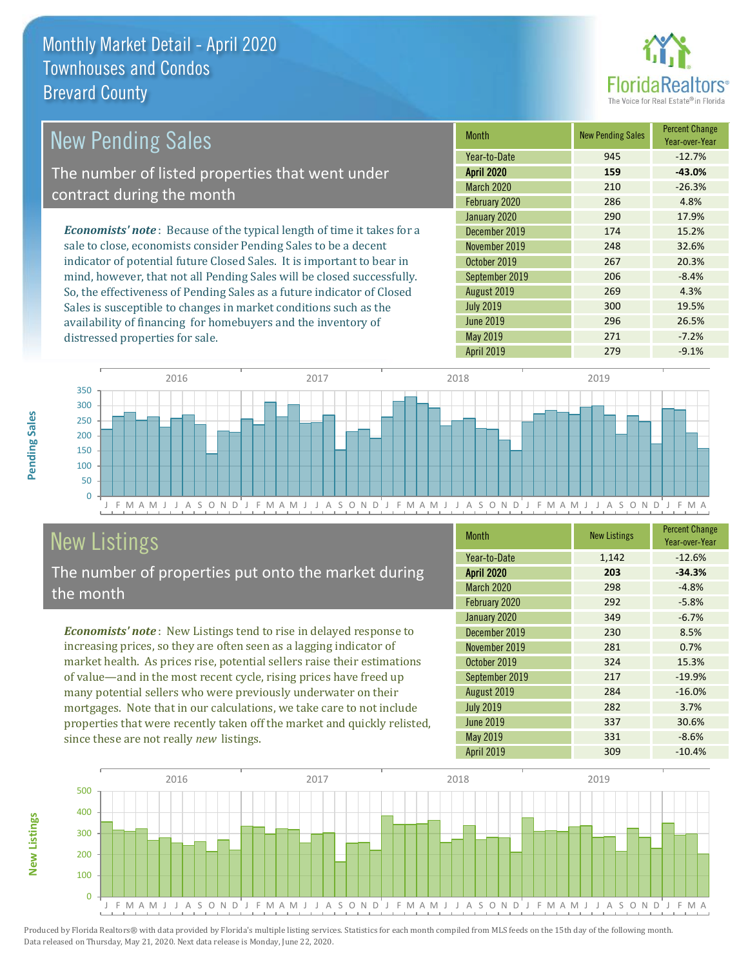distressed properties for sale.



| <b>New Pending Sales</b>                                                       | <b>Month</b>      | New Pending Sales | <b>Percent Change</b><br>Year-over-Year |
|--------------------------------------------------------------------------------|-------------------|-------------------|-----------------------------------------|
|                                                                                | Year-to-Date      | 945               | $-12.7%$                                |
| The number of listed properties that went under                                | <b>April 2020</b> | 159               | $-43.0%$                                |
| contract during the month                                                      | <b>March 2020</b> | 210               | $-26.3%$                                |
|                                                                                | February 2020     | 286               | 4.8%                                    |
|                                                                                | January 2020      | 290               | 17.9%                                   |
| <b>Economists' note</b> : Because of the typical length of time it takes for a | December 2019     | 174               | 15.2%                                   |
| sale to close, economists consider Pending Sales to be a decent                | November 2019     | 248               | 32.6%                                   |
| indicator of potential future Closed Sales. It is important to bear in         | October 2019      | 267               | 20.3%                                   |
| mind, however, that not all Pending Sales will be closed successfully.         | September 2019    | 206               | $-8.4%$                                 |
| So, the effectiveness of Pending Sales as a future indicator of Closed         | August 2019       | 269               | 4.3%                                    |
| Sales is susceptible to changes in market conditions such as the               | <b>July 2019</b>  | 300               | 19.5%                                   |

J F M A M J J A S O N D J F M A M J J A S O N D J F M A M J J A S O N D J F M A M J J A S O N D J F M A 0 50 100 150 200 250 300 350 2016 2017 2018 2019

# New Listings

**New Listings**

**Pending Sales**

Pending Sales

The number of properties put onto the market during the month

availability of financing for homebuyers and the inventory of

*Economists' note* : New Listings tend to rise in delayed response to increasing prices, so they are often seen as a lagging indicator of market health. As prices rise, potential sellers raise their estimations of value—and in the most recent cycle, rising prices have freed up many potential sellers who were previously underwater on their mortgages. Note that in our calculations, we take care to not include properties that were recently taken off the market and quickly relisted, since these are not really *new* listings.

| <b>Month</b>      | <b>New Listings</b> | <b>Percent Change</b><br>Year-over-Year |
|-------------------|---------------------|-----------------------------------------|
| Year-to-Date      | 1,142               | $-12.6%$                                |
| <b>April 2020</b> | 203                 | $-34.3%$                                |
| <b>March 2020</b> | 298                 | $-4.8%$                                 |
| February 2020     | 292                 | $-5.8%$                                 |
| January 2020      | 349                 | $-6.7%$                                 |
| December 2019     | 230                 | 8.5%                                    |
| November 2019     | 281                 | 0.7%                                    |
| October 2019      | 324                 | 15.3%                                   |
| September 2019    | 217                 | $-19.9%$                                |
| August 2019       | 284                 | $-16.0%$                                |
| <b>July 2019</b>  | 282                 | 3.7%                                    |
| <b>June 2019</b>  | 337                 | 30.6%                                   |
| May 2019          | 331                 | $-8.6%$                                 |
| <b>April 2019</b> | 309                 | $-10.4%$                                |

June 2019 296 296 26.5% May 2019 271 -7.2% April 2019 **279** 279 -9.1%

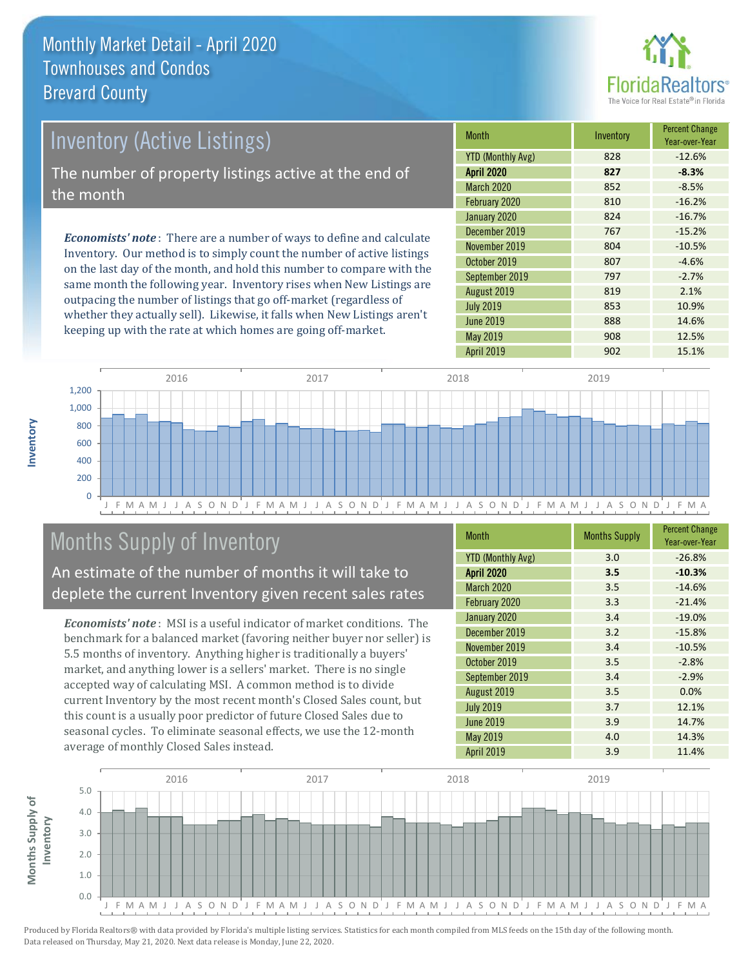

| Inventory (Active Listings)                                       | <b>Month</b>          |                                                                              |               |
|-------------------------------------------------------------------|-----------------------|------------------------------------------------------------------------------|---------------|
|                                                                   | <b>YTD (Monthly A</b> |                                                                              |               |
| The number of property listings active at the end of<br>the month |                       |                                                                              |               |
|                                                                   |                       |                                                                              | January 2020  |
|                                                                   |                       | <b>Economists' note</b> : There are a number of ways to define and calculate | December 2019 |
|                                                                   |                       |                                                                              |               |

Inventory. Our method is to simply count the number of active listings on the last day of the month, and hold this number to compare with the same month the following year. Inventory rises when New Listings are outpacing the number of listings that go off-market (regardless of whether they actually sell). Likewise, it falls when New Listings aren't keeping up with the rate at which homes are going off-market.

| <b>Month</b>             | Inventory | <b>Percent Change</b><br>Year-over-Year |
|--------------------------|-----------|-----------------------------------------|
| <b>YTD (Monthly Avg)</b> | 828       | $-12.6%$                                |
| <b>April 2020</b>        | 827       | $-8.3%$                                 |
| <b>March 2020</b>        | 852       | $-8.5%$                                 |
| February 2020            | 810       | $-16.2%$                                |
| January 2020             | 824       | $-16.7%$                                |
| December 2019            | 767       | $-15.2%$                                |
| November 2019            | 804       | $-10.5%$                                |
| October 2019             | 807       | $-4.6%$                                 |
| September 2019           | 797       | $-2.7%$                                 |
| August 2019              | 819       | 2.1%                                    |
| <b>July 2019</b>         | 853       | 10.9%                                   |
| <b>June 2019</b>         | 888       | 14.6%                                   |
| May 2019                 | 908       | 12.5%                                   |
| <b>April 2019</b>        | 902       | 15.1%                                   |



# Months Supply of Inventory

An estimate of the number of months it will take to deplete the current Inventory given recent sales rates

*Economists' note* : MSI is a useful indicator of market conditions. The benchmark for a balanced market (favoring neither buyer nor seller) is 5.5 months of inventory. Anything higher is traditionally a buyers' market, and anything lower is a sellers' market. There is no single accepted way of calculating MSI. A common method is to divide current Inventory by the most recent month's Closed Sales count, but this count is a usually poor predictor of future Closed Sales due to seasonal cycles. To eliminate seasonal effects, we use the 12-month average of monthly Closed Sales instead.

| <b>Month</b>             | <b>Months Supply</b> | <b>Percent Change</b><br>Year-over-Year |
|--------------------------|----------------------|-----------------------------------------|
| <b>YTD (Monthly Avg)</b> | 3.0                  | $-26.8%$                                |
| <b>April 2020</b>        | 3.5                  | $-10.3%$                                |
| <b>March 2020</b>        | 3.5                  | $-14.6%$                                |
| February 2020            | 3.3                  | $-21.4%$                                |
| January 2020             | 3.4                  | $-19.0%$                                |
| December 2019            | 3.2                  | $-15.8%$                                |
| November 2019            | 3.4                  | $-10.5%$                                |
| October 2019             | 3.5                  | $-2.8%$                                 |
| September 2019           | 3.4                  | $-2.9%$                                 |
| August 2019              | 3.5                  | 0.0%                                    |
| <b>July 2019</b>         | 3.7                  | 12.1%                                   |
| <b>June 2019</b>         | 3.9                  | 14.7%                                   |
| May 2019                 | 4.0                  | 14.3%                                   |
| <b>April 2019</b>        | 3.9                  | 11.4%                                   |

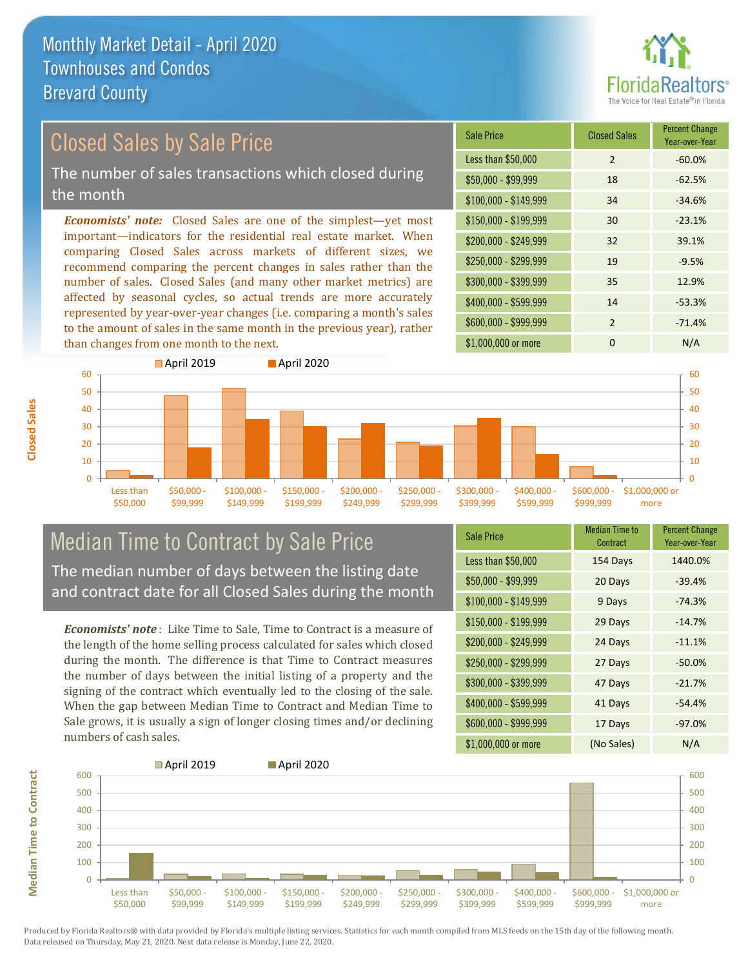

### Closed Sales by Sale Price

The number of sales transactions which closed during the month

*Economists' note:* Closed Sales are one of the simplest—yet most important—indicators for the residential real estate market. When comparing Closed Sales across markets of different sizes, we recommend comparing the percent changes in sales rather than the number of sales. Closed Sales (and many other market metrics) are affected by seasonal cycles, so actual trends are more accurately represented by year-over-year changes (i.e. comparing a month's sales to the amount of sales in the same month in the previous year), rather than changes from one month to the next.

| <b>Sale Price</b>     | <b>Closed Sales</b> | <b>Percent Change</b><br>Year-over-Year |
|-----------------------|---------------------|-----------------------------------------|
| Less than \$50,000    | 2                   | $-60.0%$                                |
| \$50,000 - \$99,999   | 18                  | $-62.5%$                                |
| $$100,000 - $149,999$ | 34                  | $-34.6%$                                |
| $$150,000 - $199,999$ | 30                  | $-23.1%$                                |
| \$200,000 - \$249,999 | 32                  | 39.1%                                   |
| \$250,000 - \$299,999 | 19                  | $-9.5%$                                 |
| \$300,000 - \$399,999 | 35                  | 12.9%                                   |
| \$400,000 - \$599,999 | 14                  | $-53.3%$                                |
| \$600,000 - \$999,999 | $\mathcal{P}$       | $-71.4%$                                |
| \$1,000,000 or more   | 0                   | N/A                                     |



### Median Time to Contract by Sale Price The median number of days between the listing date

and contract date for all Closed Sales during the month

*Economists' note* : Like Time to Sale, Time to Contract is a measure of the length of the home selling process calculated for sales which closed during the month. The difference is that Time to Contract measures the number of days between the initial listing of a property and the signing of the contract which eventually led to the closing of the sale. When the gap between Median Time to Contract and Median Time to Sale grows, it is usually a sign of longer closing times and/or declining numbers of cash sales.

| <b>Sale Price</b>     | <b>Median Time to</b><br>Contract | <b>Percent Change</b><br>Year-over-Year |
|-----------------------|-----------------------------------|-----------------------------------------|
| Less than \$50,000    | 154 Days                          | 1440.0%                                 |
| \$50,000 - \$99,999   | 20 Days                           | $-39.4%$                                |
| $$100,000 - $149,999$ | 9 Days                            | $-74.3%$                                |
| $$150,000 - $199,999$ | 29 Days                           | $-14.7%$                                |
| \$200,000 - \$249,999 | 24 Days                           | $-11.1%$                                |
| \$250,000 - \$299,999 | 27 Days                           | $-50.0%$                                |
| \$300,000 - \$399,999 | 47 Days                           | $-21.7%$                                |
| \$400,000 - \$599,999 | 41 Days                           | $-54.4%$                                |
| \$600,000 - \$999,999 | 17 Days                           | $-97.0%$                                |
| \$1,000,000 or more   | (No Sales)                        | N/A                                     |



Produced by Florida Realtors® with data provided by Florida's multiple listing services. Statistics for each month compiled from MLS feeds on the 15th day of the following month. Data released on Thursday, May 21, 2020. Next data release is Monday, June 22, 2020.

**Median Time to Contract**

**Median Time to Contract**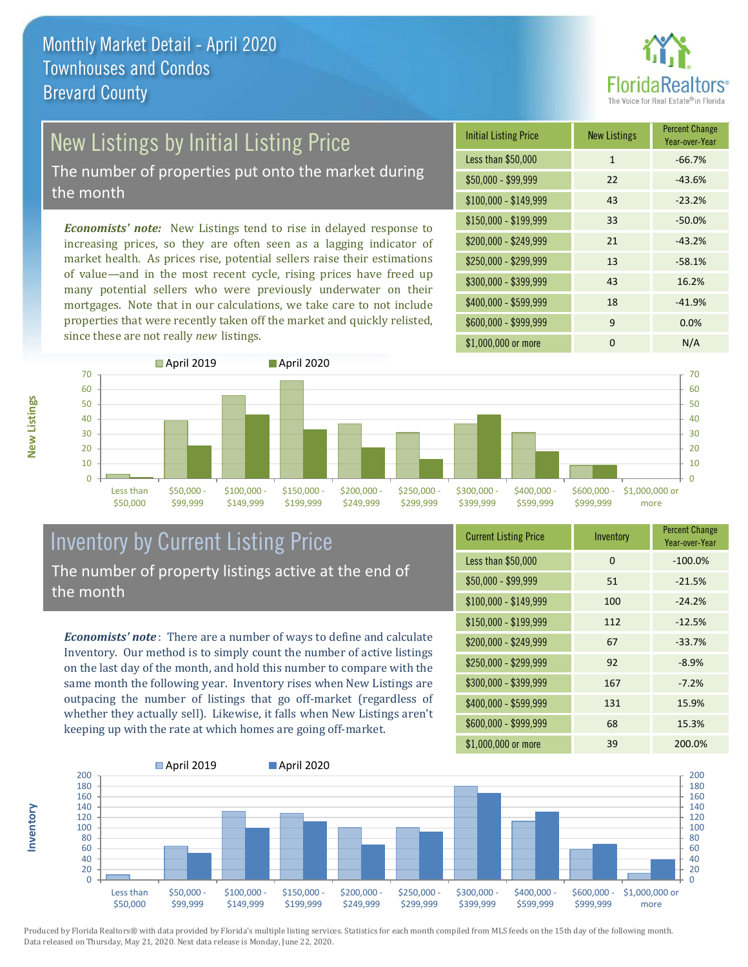

# New Listings by Initial Listing Price

The number of properties put onto the market during the month

*Economists' note:* New Listings tend to rise in delayed response to increasing prices, so they are often seen as a lagging indicator of market health. As prices rise, potential sellers raise their estimations of value—and in the most recent cycle, rising prices have freed up many potential sellers who were previously underwater on their mortgages. Note that in our calculations, we take care to not include properties that were recently taken off the market and quickly relisted, since these are not really *new* listings.

| <b>Initial Listing Price</b> | <b>New Listings</b> | <b>Percent Change</b><br>Year-over-Year |
|------------------------------|---------------------|-----------------------------------------|
| Less than \$50,000           | 1                   | $-66.7%$                                |
| $$50,000 - $99,999$          | 22                  | $-43.6%$                                |
| $$100,000 - $149,999$        | 43                  | $-23.2%$                                |
| $$150,000 - $199,999$        | 33                  | $-50.0%$                                |
| \$200,000 - \$249,999        | 21                  | $-43.2%$                                |
| \$250,000 - \$299,999        | 13                  | $-58.1%$                                |
| \$300,000 - \$399,999        | 43                  | 16.2%                                   |
| \$400,000 - \$599,999        | 18                  | $-41.9%$                                |
| \$600,000 - \$999,999        | 9                   | 0.0%                                    |
| \$1,000,000 or more          | ŋ                   | N/A                                     |



### Inventory by Current Listing Price The number of property listings active at the end of the month

*Economists' note* : There are a number of ways to define and calculate Inventory. Our method is to simply count the number of active listings on the last day of the month, and hold this number to compare with the same month the following year. Inventory rises when New Listings are outpacing the number of listings that go off-market (regardless of whether they actually sell). Likewise, it falls when New Listings aren't keeping up with the rate at which homes are going off-market.

| <b>Current Listing Price</b> | Inventory | <b>Percent Change</b><br>Year-over-Year |
|------------------------------|-----------|-----------------------------------------|
| Less than \$50,000           | 0         | $-100.0%$                               |
| $$50,000 - $99,999$          | 51        | $-21.5%$                                |
| $$100,000 - $149,999$        | 100       | $-24.2%$                                |
| $$150,000 - $199,999$        | 112       | $-12.5%$                                |
| \$200,000 - \$249,999        | 67        | $-33.7%$                                |
| \$250,000 - \$299,999        | 92        | $-8.9%$                                 |
| \$300,000 - \$399,999        | 167       | $-7.2%$                                 |
| \$400,000 - \$599,999        | 131       | 15.9%                                   |
| \$600,000 - \$999,999        | 68        | 15.3%                                   |
| \$1,000,000 or more          | 39        | 200.0%                                  |



Produced by Florida Realtors® with data provided by Florida's multiple listing services. Statistics for each month compiled from MLS feeds on the 15th day of the following month. Data released on Thursday, May 21, 2020. Next data release is Monday, June 22, 2020.

**Inventory**